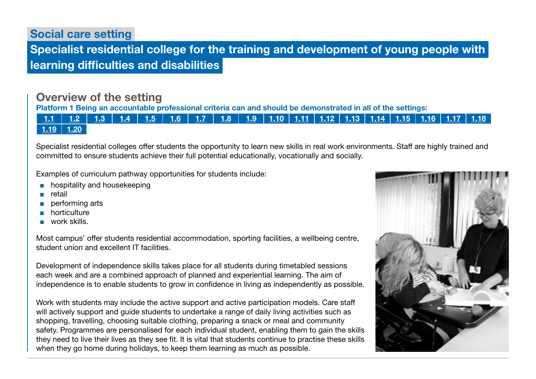Social care setting

 Specialist residential college for the training and development of young people with learning difficulties and disabilities

## Overview of the setting

Platform 1 Being an accountable professional criteria can and should be demonstrated in all of the settings:

[1.1](https://www.skillsforcare.org.uk/Documents/Learning-and-development/Regulated-professionals/Registered-nurses/Future-nursing-proficiencies/future-nurse-proficiencies.pdf#page=8) | [1.2](https://www.skillsforcare.org.uk/Documents/Learning-and-development/Regulated-professionals/Registered-nurses/Future-nursing-proficiencies/future-nurse-proficiencies.pdf#page=8) | [1.3](https://www.skillsforcare.org.uk/Documents/Learning-and-development/Regulated-professionals/Registered-nurses/Future-nursing-proficiencies/future-nurse-proficiencies.pdf#page=8) | [1.4](https://www.skillsforcare.org.uk/Documents/Learning-and-development/Regulated-professionals/Registered-nurses/Future-nursing-proficiencies/future-nurse-proficiencies.pdf#page=8) | [1.5](https://www.skillsforcare.org.uk/Documents/Learning-and-development/Regulated-professionals/Registered-nurses/Future-nursing-proficiencies/future-nurse-proficiencies.pdf#page=8) | [1.6](https://www.skillsforcare.org.uk/Documents/Learning-and-development/Regulated-professionals/Registered-nurses/Future-nursing-proficiencies/future-nurse-proficiencies.pdf#page=8) | [1.7](https://www.skillsforcare.org.uk/Documents/Learning-and-development/Regulated-professionals/Registered-nurses/Future-nursing-proficiencies/future-nurse-proficiencies.pdf#page=8) | [1.8](https://www.skillsforcare.org.uk/Documents/Learning-and-development/Regulated-professionals/Registered-nurses/Future-nursing-proficiencies/future-nurse-proficiencies.pdf#page=8) | [1.9](https://www.skillsforcare.org.uk/Documents/Learning-and-development/Regulated-professionals/Registered-nurses/Future-nursing-proficiencies/future-nurse-proficiencies.pdf#page=8) | [1.10](https://www.skillsforcare.org.uk/Documents/Learning-and-development/Regulated-professionals/Registered-nurses/Future-nursing-proficiencies/future-nurse-proficiencies.pdf#page=9) | [1.11](https://www.skillsforcare.org.uk/Documents/Learning-and-development/Regulated-professionals/Registered-nurses/Future-nursing-proficiencies/future-nurse-proficiencies.pdf#page=9) | [1.12](https://www.skillsforcare.org.uk/Documents/Learning-and-development/Regulated-professionals/Registered-nurses/Future-nursing-proficiencies/future-nurse-proficiencies.pdf#page=9) | [1.13](https://www.skillsforcare.org.uk/Documents/Learning-and-development/Regulated-professionals/Registered-nurses/Future-nursing-proficiencies/future-nurse-proficiencies.pdf#page=9) | [1.14](https://www.skillsforcare.org.uk/Documents/Learning-and-development/Regulated-professionals/Registered-nurses/Future-nursing-proficiencies/future-nurse-proficiencies.pdf#page=9) | [1.15](https://www.skillsforcare.org.uk/Documents/Learning-and-development/Regulated-professionals/Registered-nurses/Future-nursing-proficiencies/future-nurse-proficiencies.pdf#page=9) | [1.16](https://www.skillsforcare.org.uk/Documents/Learning-and-development/Regulated-professionals/Registered-nurses/Future-nursing-proficiencies/future-nurse-proficiencies.pdf#page=9)  $1.19$  | [1.20](https://www.skillsforcare.org.uk/Documents/Learning-and-development/Regulated-professionals/Registered-nurses/Future-nursing-proficiencies/future-nurse-proficiencies.pdf#page=9)

Specialist residential colleges offer students the opportunity to learn new skills in real work environments. Staff are highly trained and committed to ensure students achieve their full potential educationally, vocationally and socially.

Examples of curriculum pathway opportunities for students include:

- hospitality and housekeeping
- retail
- performing arts
- horticulture
- work skills.

Most campus' offer students residential accommodation, sporting facilities, a wellbeing centre, student union and excellent IT facilities.

Development of independence skills takes place for all students during timetabled sessions each week and are a combined approach of planned and experiential learning. The aim of independence is to enable students to grow in confidence in living as independently as possible.

Work with students may include the active support and active participation models. Care staff will actively support and guide students to undertake a range of daily living activities such as shopping, travelling, choosing suitable clothing, preparing a snack or meal and community safety. Programmes are personalised for each individual student, enabling them to gain the skills they need to live their lives as they see fit. It is vital that students continue to practise these skills when they go home during holidays, to keep them learning as much as possible.

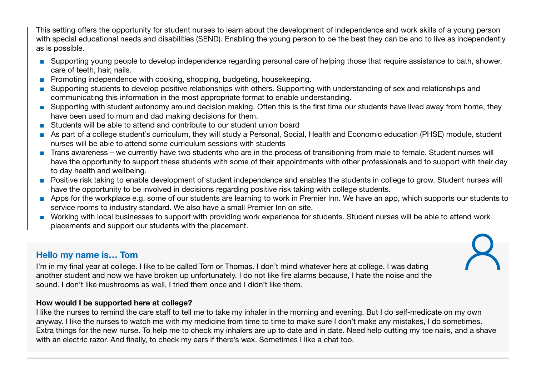This setting offers the opportunity for student nurses to learn about the development of independence and work skills of a young person with special educational needs and disabilities (SEND). Enabling the young person to be the best they can be and to live as independently as is possible.

- Supporting young people to develop independence regarding personal care of helping those that require assistance to bath, shower, care of teeth, hair, nails.
- Promoting independence with cooking, shopping, budgeting, housekeeping.
- Supporting students to develop positive relationships with others. Supporting with understanding of sex and relationships and communicating this information in the most appropriate format to enable understanding.
- Supporting with student autonomy around decision making. Often this is the first time our students have lived away from home, they have been used to mum and dad making decisions for them.
- Students will be able to attend and contribute to our student union board
- As part of a college student's curriculum, they will study a Personal, Social, Health and Economic education (PHSE) module, student nurses will be able to attend some curriculum sessions with students
- Trans awareness we currently have two students who are in the process of transitioning from male to female. Student nurses will have the opportunity to support these students with some of their appointments with other professionals and to support with their day to day health and wellbeing.
- Positive risk taking to enable development of student independence and enables the students in college to grow. Student nurses will have the opportunity to be involved in decisions regarding positive risk taking with college students.
- Apps for the workplace e.g. some of our students are learning to work in Premier Inn. We have an app, which supports our students to service rooms to industry standard. We also have a small Premier Inn on site.
- Working with local businesses to support with providing work experience for students. Student nurses will be able to attend work placements and support our students with the placement.

## Hello my name is… Tom

I'm in my final year at college. I like to be called Tom or Thomas. I don't mind whatever here at college. I was dating another student and now we have broken up unfortunately. I do not like fire alarms because, I hate the noise and the sound. I don't like mushrooms as well, I tried them once and I didn't like them.

#### How would I be supported here at college?

I like the nurses to remind the care staff to tell me to take my inhaler in the morning and evening. But I do self-medicate on my own anyway. I like the nurses to watch me with my medicine from time to time to make sure I don't make any mistakes, I do sometimes. Extra things for the new nurse. To help me to check my inhalers are up to date and in date. Need help cutting my toe nails, and a shave with an electric razor. And finally, to check my ears if there's wax. Sometimes I like a chat too.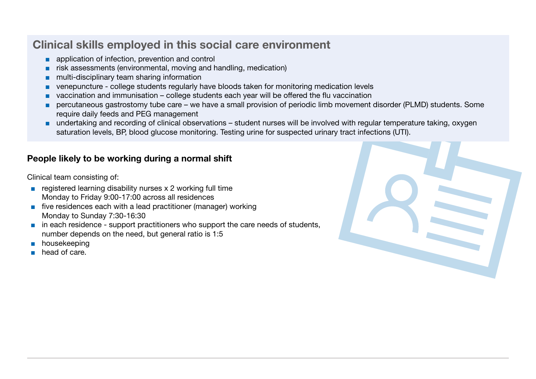# Clinical skills employed in this social care environment

- application of infection, prevention and control
- risk assessments (environmental, moving and handling, medication)
- multi-disciplinary team sharing information
- venepuncture college students regularly have bloods taken for monitoring medication levels
- vaccination and immunisation college students each year will be offered the flu vaccination
- percutaneous gastrostomy tube care we have a small provision of periodic limb movement disorder (PLMD) students. Some require daily feeds and PEG management
- undertaking and recording of clinical observations student nurses will be involved with regular temperature taking, oxygen saturation levels, BP, blood glucose monitoring. Testing urine for suspected urinary tract infections (UTI).

## People likely to be working during a normal shift

Clinical team consisting of:

- $\blacksquare$  registered learning disability nurses x 2 working full time Monday to Friday 9:00-17:00 across all residences
- five residences each with a lead practitioner (manager) working Monday to Sunday 7:30-16:30
- in each residence support practitioners who support the care needs of students, number depends on the need, but general ratio is 1:5
- housekeeping
- head of care.

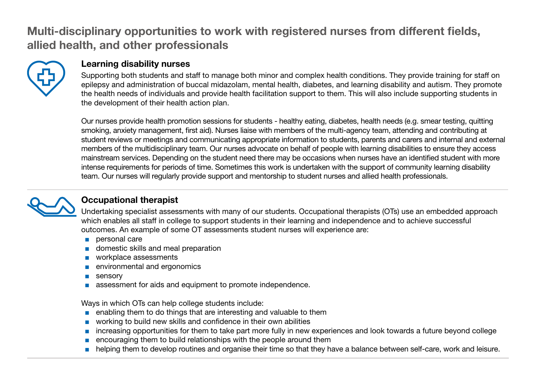# Multi-disciplinary opportunities to work with registered nurses from different fields, allied health, and other professionals



### Learning disability nurses

Supporting both students and staff to manage both minor and complex health conditions. They provide training for staff on epilepsy and administration of buccal midazolam, mental health, diabetes, and learning disability and autism. They promote the health needs of individuals and provide health facilitation support to them. This will also include supporting students in the development of their health action plan.

Our nurses provide health promotion sessions for students - healthy eating, diabetes, health needs (e.g. smear testing, quitting smoking, anxiety management, first aid). Nurses liaise with members of the multi-agency team, attending and contributing at student reviews or meetings and communicating appropriate information to students, parents and carers and internal and external members of the multidisciplinary team. Our nurses advocate on behalf of people with learning disabilities to ensure they access mainstream services. Depending on the student need there may be occasions when nurses have an identified student with more intense requirements for periods of time. Sometimes this work is undertaken with the support of community learning disability team. Our nurses will regularly provide support and mentorship to student nurses and allied health professionals.



## Occupational therapist

Undertaking specialist assessments with many of our students. Occupational therapists (OTs) use an embedded approach which enables all staff in college to support students in their learning and independence and to achieve successful outcomes. An example of some OT assessments student nurses will experience are:

- personal care
- domestic skills and meal preparation
- workplace assessments
- environmental and ergonomics
- sensory
- assessment for aids and equipment to promote independence.

Ways in which OTs can help college students include:

- enabling them to do things that are interesting and valuable to them
- working to build new skills and confidence in their own abilities
- increasing opportunities for them to take part more fully in new experiences and look towards a future beyond college
- encouraging them to build relationships with the people around them
- helping them to develop routines and organise their time so that they have a balance between self-care, work and leisure.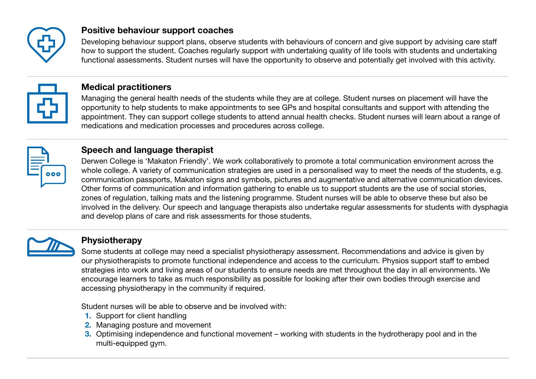

## Positive behaviour support coaches

Developing behaviour support plans, observe students with behaviours of concern and give support by advising care staff how to support the student. Coaches regularly support with undertaking quality of life tools with students and undertaking functional assessments. Student nurses will have the opportunity to observe and potentially get involved with this activity.



## Medical practitioners

Managing the general health needs of the students while they are at college. Student nurses on placement will have the opportunity to help students to make appointments to see GPs and hospital consultants and support with attending the appointment. They can support college students to attend annual health checks. Student nurses will learn about a range of medications and medication processes and procedures across college.



## Speech and language therapist

Derwen College is 'Makaton Friendly'. We work collaboratively to promote a total communication environment across the whole college. A variety of communication strategies are used in a personalised way to meet the needs of the students, e.g. communication passports, Makaton signs and symbols, pictures and augmentative and alternative communication devices. Other forms of communication and information gathering to enable us to support students are the use of social stories, zones of regulation, talking mats and the listening programme. Student nurses will be able to observe these but also be involved in the delivery. Our speech and language therapists also undertake regular assessments for students with dysphagia and develop plans of care and risk assessments for those students.



#### **Physiotherapy**

Some students at college may need a specialist physiotherapy assessment. Recommendations and advice is given by our physiotherapists to promote functional independence and access to the curriculum. Physios support staff to embed strategies into work and living areas of our students to ensure needs are met throughout the day in all environments. We encourage learners to take as much responsibility as possible for looking after their own bodies through exercise and accessing physiotherapy in the community if required.

Student nurses will be able to observe and be involved with:

- 1. Support for client handling
- 2. Managing posture and movement
- 3. Optimising independence and functional movement working with students in the hydrotherapy pool and in the multi-equipped gym.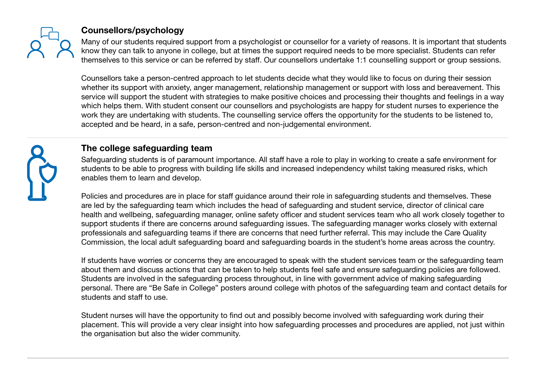

## Counsellors/psychology

Many of our students required support from a psychologist or counsellor for a variety of reasons. It is important that students know they can talk to anyone in college, but at times the support required needs to be more specialist. Students can refer themselves to this service or can be referred by staff. Our counsellors undertake 1:1 counselling support or group sessions.

Counsellors take a person-centred approach to let students decide what they would like to focus on during their session whether its support with anxiety, anger management, relationship management or support with loss and bereavement. This service will support the student with strategies to make positive choices and processing their thoughts and feelings in a way which helps them. With student consent our counsellors and psychologists are happy for student nurses to experience the work they are undertaking with students. The counselling service offers the opportunity for the students to be listened to, accepted and be heard, in a safe, person-centred and non-judgemental environment.



## The college safeguarding team

Safeguarding students is of paramount importance. All staff have a role to play in working to create a safe environment for students to be able to progress with building life skills and increased independency whilst taking measured risks, which enables them to learn and develop.

Policies and procedures are in place for staff guidance around their role in safeguarding students and themselves. These are led by the safeguarding team which includes the head of safeguarding and student service, director of clinical care health and wellbeing, safeguarding manager, online safety officer and student services team who all work closely together to support students if there are concerns around safeguarding issues. The safeguarding manager works closely with external professionals and safeguarding teams if there are concerns that need further referral. This may include the Care Quality Commission, the local adult safeguarding board and safeguarding boards in the student's home areas across the country.

If students have worries or concerns they are encouraged to speak with the student services team or the safeguarding team about them and discuss actions that can be taken to help students feel safe and ensure safeguarding policies are followed. Students are involved in the safeguarding process throughout, in line with government advice of making safeguarding personal. There are "Be Safe in College" posters around college with photos of the safeguarding team and contact details for students and staff to use.

Student nurses will have the opportunity to find out and possibly become involved with safeguarding work during their placement. This will provide a very clear insight into how safeguarding processes and procedures are applied, not just within the organisation but also the wider community.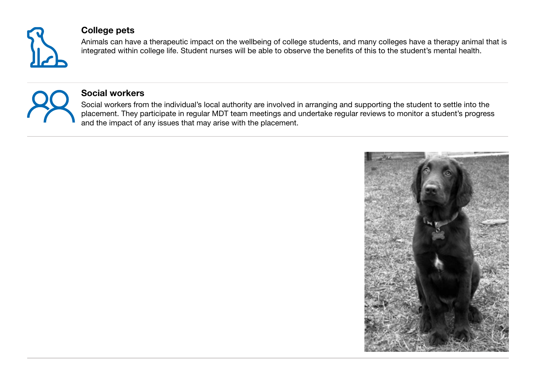

#### College pets

Animals can have a therapeutic impact on the wellbeing of college students, and many colleges have a therapy animal that is integrated within college life. Student nurses will be able to observe the benefits of this to the student's mental health.



#### Social workers

Social workers from the individual's local authority are involved in arranging and supporting the student to settle into the placement. They participate in regular MDT team meetings and undertake regular reviews to monitor a student's progress and the impact of any issues that may arise with the placement.

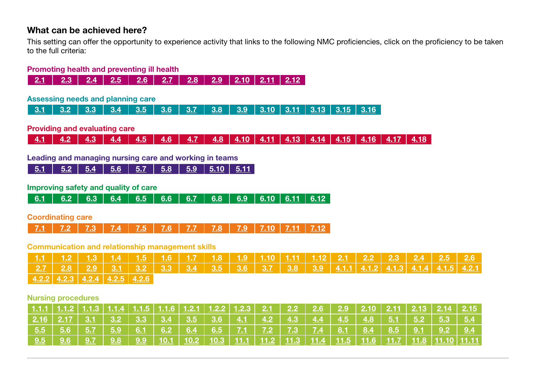#### What can be achieved here?

This setting can offer the opportunity to experience activity that links to the following NMC proficiencies, click on the proficiency to be taken to the full criteria:

#### Promoting health and preventing ill health



#### Assessing needs and planning care

[3.1](https://www.skillsforcare.org.uk/Documents/Learning-and-development/Regulated-professionals/Registered-nurses/Future-nursing-proficiencies/future-nurse-proficiencies.pdf#page=14) [3.2](https://www.skillsforcare.org.uk/Documents/Learning-and-development/Regulated-professionals/Registered-nurses/Future-nursing-proficiencies/future-nurse-proficiencies.pdf#page=14) [3.3](https://www.skillsforcare.org.uk/Documents/Learning-and-development/Regulated-professionals/Registered-nurses/Future-nursing-proficiencies/future-nurse-proficiencies.pdf#page=14) [3.4](https://www.skillsforcare.org.uk/Documents/Learning-and-development/Regulated-professionals/Registered-nurses/Future-nursing-proficiencies/future-nurse-proficiencies.pdf#page=14) [3.5](https://www.skillsforcare.org.uk/Documents/Learning-and-development/Regulated-professionals/Registered-nurses/Future-nursing-proficiencies/future-nurse-proficiencies.pdf#page=14) [3.6](https://www.skillsforcare.org.uk/Documents/Learning-and-development/Regulated-professionals/Registered-nurses/Future-nursing-proficiencies/future-nurse-proficiencies.pdf#page=14) [3.7](https://www.skillsforcare.org.uk/Documents/Learning-and-development/Regulated-professionals/Registered-nurses/Future-nursing-proficiencies/future-nurse-proficiencies.pdf#page=14) [3.8](https://www.skillsforcare.org.uk/Documents/Learning-and-development/Regulated-professionals/Registered-nurses/Future-nursing-proficiencies/future-nurse-proficiencies.pdf#page=14) [3.9](https://www.skillsforcare.org.uk/Documents/Learning-and-development/Regulated-professionals/Registered-nurses/Future-nursing-proficiencies/future-nurse-proficiencies.pdf#page=15) [3.10](https://www.skillsforcare.org.uk/Documents/Learning-and-development/Regulated-professionals/Registered-nurses/Future-nursing-proficiencies/future-nurse-proficiencies.pdf#page=15) [3.11](https://www.skillsforcare.org.uk/Documents/Learning-and-development/Regulated-professionals/Registered-nurses/Future-nursing-proficiencies/future-nurse-proficiencies.pdf#page=15) [3.13](https://www.skillsforcare.org.uk/Documents/Learning-and-development/Regulated-professionals/Registered-nurses/Future-nursing-proficiencies/future-nurse-proficiencies.pdf#page=15) [3.15](https://www.skillsforcare.org.uk/Documents/Learning-and-development/Regulated-professionals/Registered-nurses/Future-nursing-proficiencies/future-nurse-proficiencies.pdf#page=15) [3.16](https://www.skillsforcare.org.uk/Documents/Learning-and-development/Regulated-professionals/Registered-nurses/Future-nursing-proficiencies/future-nurse-proficiencies.pdf#page=15)

#### Providing and evaluating care

[4.1](https://www.skillsforcare.org.uk/Documents/Learning-and-development/Regulated-professionals/Registered-nurses/Future-nursing-proficiencies/future-nurse-proficiencies.pdf#page=17) [4.2](https://www.skillsforcare.org.uk/Documents/Learning-and-development/Regulated-professionals/Registered-nurses/Future-nursing-proficiencies/future-nurse-proficiencies.pdf#page=17) [4.3](https://www.skillsforcare.org.uk/Documents/Learning-and-development/Regulated-professionals/Registered-nurses/Future-nursing-proficiencies/future-nurse-proficiencies.pdf#page=17) [4.4](https://www.skillsforcare.org.uk/Documents/Learning-and-development/Regulated-professionals/Registered-nurses/Future-nursing-proficiencies/future-nurse-proficiencies.pdf#page=17) [4.5](https://www.skillsforcare.org.uk/Documents/Learning-and-development/Regulated-professionals/Registered-nurses/Future-nursing-proficiencies/future-nurse-proficiencies.pdf#page=17) [4.6](https://www.skillsforcare.org.uk/Documents/Learning-and-development/Regulated-professionals/Registered-nurses/Future-nursing-proficiencies/future-nurse-proficiencies.pdf#page=17) [4.7](https://www.skillsforcare.org.uk/Documents/Learning-and-development/Regulated-professionals/Registered-nurses/Future-nursing-proficiencies/future-nurse-proficiencies.pdf#page=17) [4.8](https://www.skillsforcare.org.uk/Documents/Learning-and-development/Regulated-professionals/Registered-nurses/Future-nursing-proficiencies/future-nurse-proficiencies.pdf#page=17) [4.10](https://www.skillsforcare.org.uk/Documents/Learning-and-development/Regulated-professionals/Registered-nurses/Future-nursing-proficiencies/future-nurse-proficiencies.pdf#page=18) [4.11](https://www.skillsforcare.org.uk/Documents/Learning-and-development/Regulated-professionals/Registered-nurses/Future-nursing-proficiencies/future-nurse-proficiencies.pdf#page=18) [4.13](https://www.skillsforcare.org.uk/Documents/Learning-and-development/Regulated-professionals/Registered-nurses/Future-nursing-proficiencies/future-nurse-proficiencies.pdf#page=18) [4.14](https://www.skillsforcare.org.uk/Documents/Learning-and-development/Regulated-professionals/Registered-nurses/Future-nursing-proficiencies/future-nurse-proficiencies.pdf#page=18) [4.15](https://www.skillsforcare.org.uk/Documents/Learning-and-development/Regulated-professionals/Registered-nurses/Future-nursing-proficiencies/future-nurse-proficiencies.pdf#page=18) [4.16](https://www.skillsforcare.org.uk/Documents/Learning-and-development/Regulated-professionals/Registered-nurses/Future-nursing-proficiencies/future-nurse-proficiencies.pdf#page=18) [4.17](https://www.skillsforcare.org.uk/Documents/Learning-and-development/Regulated-professionals/Registered-nurses/Future-nursing-proficiencies/future-nurse-proficiencies.pdf#page=18) [4.18](https://www.skillsforcare.org.uk/Documents/Learning-and-development/Regulated-professionals/Registered-nurses/Future-nursing-proficiencies/future-nurse-proficiencies.pdf#page=18)

#### Leading and managing nursing care and working in teams

[5.1](https://www.skillsforcare.org.uk/Documents/Learning-and-development/Regulated-professionals/Registered-nurses/Future-nursing-proficiencies/future-nurse-proficiencies.pdf#page=20) [5.2](https://www.skillsforcare.org.uk/Documents/Learning-and-development/Regulated-professionals/Registered-nurses/Future-nursing-proficiencies/future-nurse-proficiencies.pdf#page=20) [5.4](https://www.skillsforcare.org.uk/Documents/Learning-and-development/Regulated-professionals/Registered-nurses/Future-nursing-proficiencies/future-nurse-proficiencies.pdf#page=20) [5.6](https://www.skillsforcare.org.uk/Documents/Learning-and-development/Regulated-professionals/Registered-nurses/Future-nursing-proficiencies/future-nurse-proficiencies.pdf#page=20) [5.7](https://www.skillsforcare.org.uk/Documents/Learning-and-development/Regulated-professionals/Registered-nurses/Future-nursing-proficiencies/future-nurse-proficiencies.pdf#page=20) [5.8](https://www.skillsforcare.org.uk/Documents/Learning-and-development/Regulated-professionals/Registered-nurses/Future-nursing-proficiencies/future-nurse-proficiencies.pdf#page=20) [5.9](https://www.skillsforcare.org.uk/Documents/Learning-and-development/Regulated-professionals/Registered-nurses/Future-nursing-proficiencies/future-nurse-proficiencies.pdf#page=20) [5.10](https://www.skillsforcare.org.uk/Documents/Learning-and-development/Regulated-professionals/Registered-nurses/Future-nursing-proficiencies/future-nurse-proficiencies.pdf#page=20) [5.11](https://www.skillsforcare.org.uk/Documents/Learning-and-development/Regulated-professionals/Registered-nurses/Future-nursing-proficiencies/future-nurse-proficiencies.pdf#page=20)

#### Improving safety and quality of care

| <u>6.1</u>   <u>6.2   6.3   6.4   6.5   6.6   6.7   6.8   6.9   6.10   6.11   6.12  </u> |
|------------------------------------------------------------------------------------------|
|------------------------------------------------------------------------------------------|

#### Coordinating care

<u>[7.1](https://www.skillsforcare.org.uk/Documents/Learning-and-development/Regulated-professionals/Registered-nurses/Future-nursing-proficiencies/future-nurse-proficiencies.pdf#page=25) | [7.2](https://www.skillsforcare.org.uk/Documents/Learning-and-development/Regulated-professionals/Registered-nurses/Future-nursing-proficiencies/future-nurse-proficiencies.pdf#page=25) | [7.3](https://www.skillsforcare.org.uk/Documents/Learning-and-development/Regulated-professionals/Registered-nurses/Future-nursing-proficiencies/future-nurse-proficiencies.pdf#page=25) | [7.4](https://www.skillsforcare.org.uk/Documents/Learning-and-development/Regulated-professionals/Registered-nurses/Future-nursing-proficiencies/future-nurse-proficiencies.pdf#page=25) | [7.5](https://www.skillsforcare.org.uk/Documents/Learning-and-development/Regulated-professionals/Registered-nurses/Future-nursing-proficiencies/future-nurse-proficiencies.pdf#page=26) | [7.6](https://www.skillsforcare.org.uk/Documents/Learning-and-development/Regulated-professionals/Registered-nurses/Future-nursing-proficiencies/future-nurse-proficiencies.pdf#page=26) | [7.7](https://www.skillsforcare.org.uk/Documents/Learning-and-development/Regulated-professionals/Registered-nurses/Future-nursing-proficiencies/future-nurse-proficiencies.pdf#page=26) | [7.8](https://www.skillsforcare.org.uk/Documents/Learning-and-development/Regulated-professionals/Registered-nurses/Future-nursing-proficiencies/future-nurse-proficiencies.pdf#page=26) | [7.9](https://www.skillsforcare.org.uk/Documents/Learning-and-development/Regulated-professionals/Registered-nurses/Future-nursing-proficiencies/future-nurse-proficiencies.pdf#page=26) | [7.10](https://www.skillsforcare.org.uk/Documents/Learning-and-development/Regulated-professionals/Registered-nurses/Future-nursing-proficiencies/future-nurse-proficiencies.pdf#page=26) | [7.11](https://www.skillsforcare.org.uk/Documents/Learning-and-development/Regulated-professionals/Registered-nurses/Future-nursing-proficiencies/future-nurse-proficiencies.pdf#page=26) | [7.12](https://www.skillsforcare.org.uk/Documents/Learning-and-development/Regulated-professionals/Registered-nurses/Future-nursing-proficiencies/future-nurse-proficiencies.pdf#page=26)</u>

#### Communication and relationship management skills

|  |  | <u>1.1   1.2   1.3   1.4   1.5   1.6   1.7   1.8   1.9   1.10   1.11   1.12   2.1   2.2   2.3   2.4   2.5   2.6</u> |  |  |  |  |  |  |  |
|--|--|---------------------------------------------------------------------------------------------------------------------|--|--|--|--|--|--|--|
|  |  |                                                                                                                     |  |  |  |  |  |  |  |
|  |  | $\vert$ 4.2.2 4.2.3 4.2.4 4.2.5 4.2.6                                                                               |  |  |  |  |  |  |  |

#### Nursing procedures

|  |                          |  | <u>1.1.1   1.1.2   1.1.3   1.1.4   1.1.5   1.1.6   1.2.1   1.2.2   1.2.3    2.1      2.2      2.6      2.9     2.10    2.11    2.13    2.14    2.15  </u>                     |  |  |  |  |  |  |
|--|--------------------------|--|-------------------------------------------------------------------------------------------------------------------------------------------------------------------------------|--|--|--|--|--|--|
|  |                          |  | <u>2.16</u>   <u>2.17</u>   <u>3.1</u>   3 <u>.2</u>   <u>3.3</u>   <u>3.4</u>   <u>3.5</u>   <u>3.6</u>   <u>4.1   4.2   4.3   4.4   4.5   4.8   5.1   5.2   5.3   5.4  </u> |  |  |  |  |  |  |
|  |                          |  | <u>  5.5   5.6   5.7   5.9   6.1   6.2   6.4   6.5   7.1   7.2   7.3   7.4   8.1   8.4   8.5   9.1   9.2   9.4  </u>                                                          |  |  |  |  |  |  |
|  | <u>9.5   9.6   9.7  </u> |  | <u>9.8</u>   <u>9.9</u>   <u>10.1   10.2   10.3   11.1   11.2   11.3   11.4   11.5   11.6   11.7   11.8  11.10   11.11  </u>                                                  |  |  |  |  |  |  |